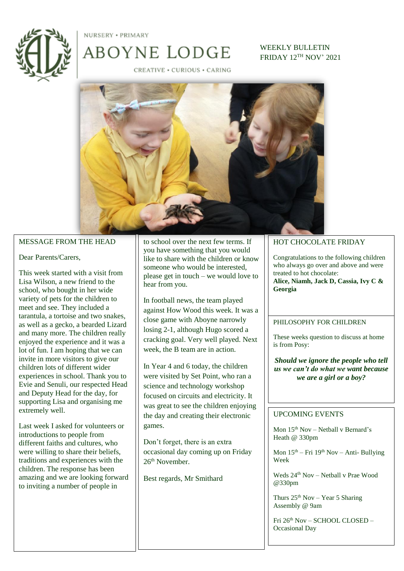

NURSERY . PRIMARY

CREATIVE . CURIOUS . CARING

ABOYNE LODGE

WEEKLY BULLETIN FRIDAY 12TH NOV' 2021



### MESSAGE FROM THE HEAD

### Dear Parents/Carers,

This week started with a visit from Lisa Wilson, a new friend to the school, who bought in her wide variety of pets for the children to meet and see. They included a tarantula, a tortoise and two snakes, as well as a gecko, a bearded Lizard and many more. The children really enjoyed the experience and it was a lot of fun. I am hoping that we can invite in more visitors to give our children lots of different wider experiences in school. Thank you to Evie and Senuli, our respected Head and Deputy Head for the day, for supporting Lisa and organising me extremely well.

Last week I asked for volunteers or introductions to people from different faiths and cultures, who were willing to share their beliefs, traditions and experiences with the children. The response has been amazing and we are looking forward to inviting a number of people in

to school over the next few terms. If you have something that you would like to share with the children or know someone who would be interested, please get in touch – we would love to hear from you.

In football news, the team played against How Wood this week. It was a close game with Aboyne narrowly losing 2-1, although Hugo scored a cracking goal. Very well played. Next week, the B team are in action.

In Year 4 and 6 today, the children were visited by Set Point, who ran a science and technology workshop focused on circuits and electricity. It was great to see the children enjoying the day and creating their electronic games.

Don't forget, there is an extra occasional day coming up on Friday 26th November.

Best regards, Mr Smithard

#### HOT CHOCOLATE FRIDAY

Congratulations to the following children who always go over and above and were treated to hot chocolate:

**Alice, Niamh, Jack D, Cassia, Ivy C & Georgia**

#### PHILOSOPHY FOR CHILDREN

These weeks question to discuss at home is from Posy:

*Should we ignore the people who tell us we can't do what we want because we are a girl or a boy?*

## UPCOMING EVENTS

Mon 15th Nov – Netball v Bernard's Heath @ 330pm

Mon  $15<sup>th</sup> - Fri 19<sup>th</sup> Nov - Anti- Bullying$ Week

Weds  $24<sup>th</sup>$  Nov – Netball v Prae Wood @330pm

Thurs  $25<sup>th</sup> Nov - Year 5 Sharing$ Assembly @ 9am

Fri 26th Nov – SCHOOL CLOSED – Occasional Day